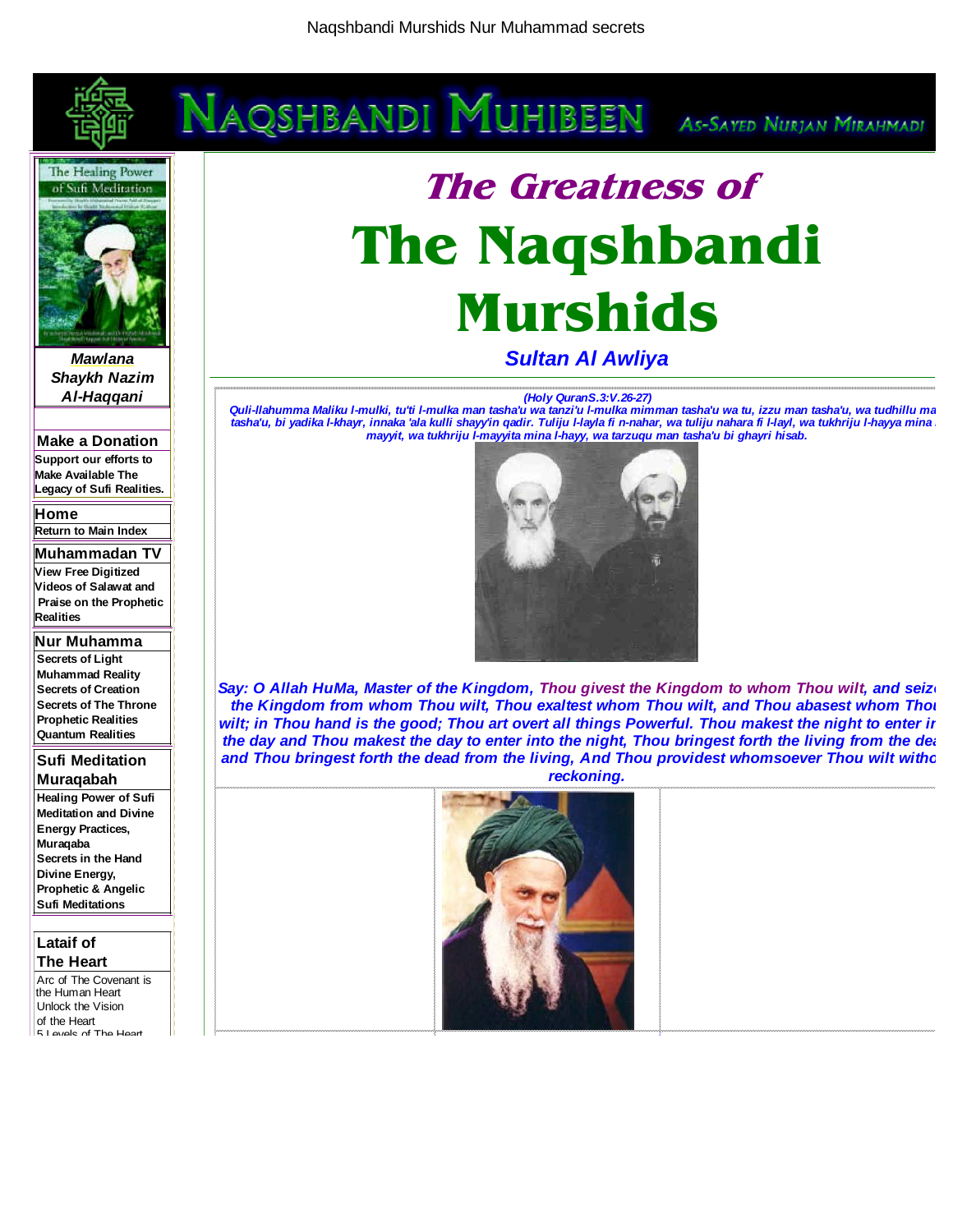



**Mawlana Shaykh Nazim Al-Haqqani** 

**Make a Donation Support our efforts to Make Available The Legacy of Sufi Realities.**

**Home**

**Return to Main Index**

**Muhammadan TV View Free Digitized Videos of Salawat and Praise on the Prophetic Realities**

**Nur Muhamma Secrets of Light Muhammad Reality Secrets of Creation Secrets of The Throne Prophetic Realities Quantum Realities**

**Sufi Meditation Muraqabah** 

**Healing Power of Sufi Meditation and Divine Energy Practices, Muraqaba Secrets in the Hand Divine Energy, Prophetic & Angelic Sufi Meditations**

#### **Lataif of The Heart**

Arc of The Covenant is the Human Heart Unlock the Vision of the Heart 5 Levels of The Heart

# **The Greatness of The Naqshbandi Murshids**

**Sultan Al Awliya**

#### **(Holy QuranS.3:V.26-27)**

**Quli-llahumma Maliku l-mulki, tu'ti l-mulka man tasha'u wa tanzi'u l-mulka mimman tasha'u wa tu, izzu man tasha'u, wa tudhillu man tasha'u, bi yadika l-khayr, innaka 'ala kulli shayy'in qadir. Tuliju l-layla fi n-nahar, wa tuliju nahara fi l-layl, wa tukhriju l-hayya mina l mayyit, wa tukhriju l-mayyita mina l-hayy, wa tarzuqu man tasha'u bi ghayri hisab.** 



Say: O Allah HuMa, Master of the Kingdom, Thou givest the Kingdom to whom Thou wilt, and seize **the Kingdom from whom Thou wilt, Thou exaltest whom Thou wilt, and Thou abasest whom Thou wilt; in Thou hand is the good; Thou art overt all things Powerful. Thou makest the night to enter in the day and Thou makest the day to enter into the night, Thou bringest forth the living from the dea and Thou bringest forth the dead from the living, And Thou providest whomsoever Thou wilt witho reckoning.** 

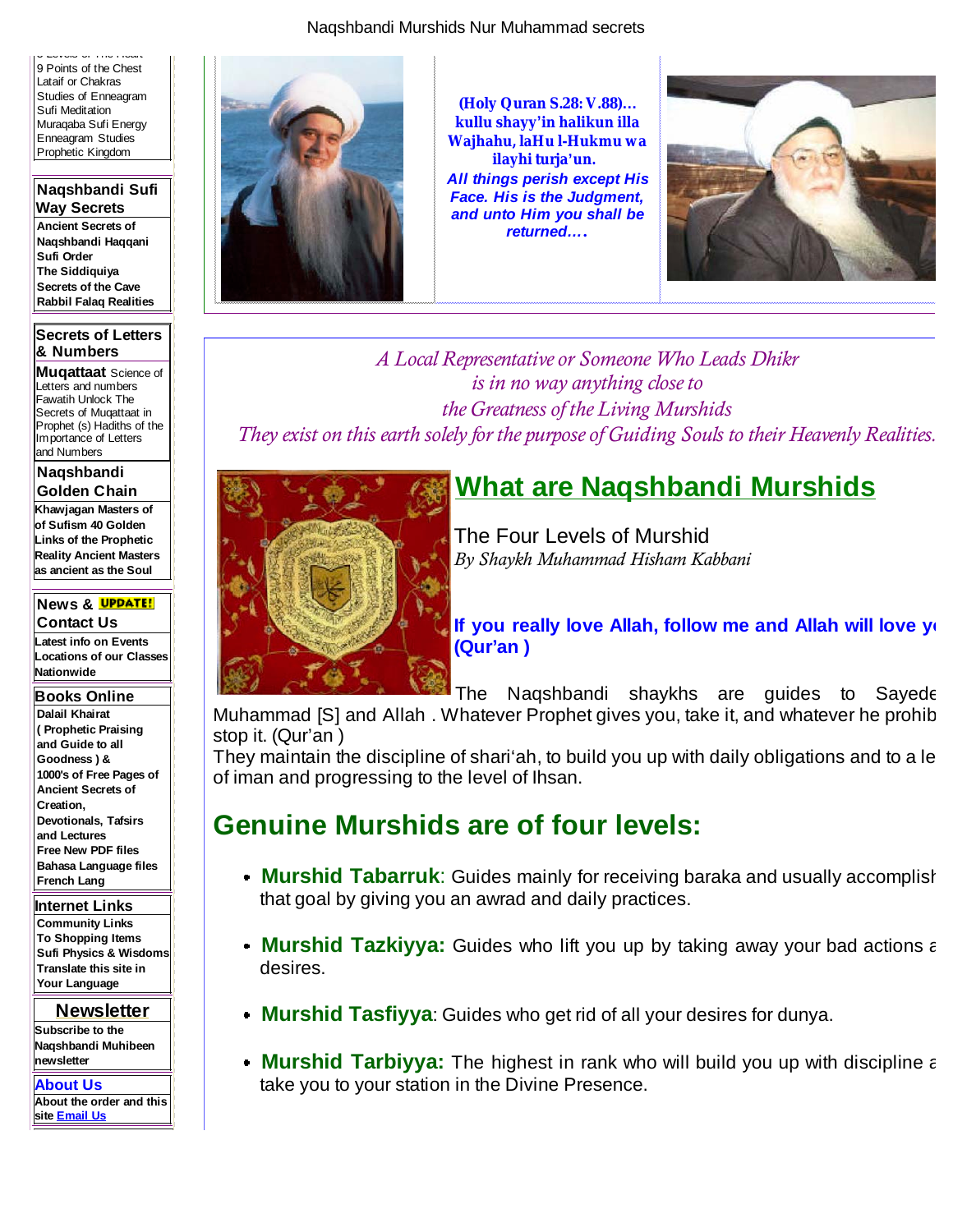5 Levels of The Heart 9 Points of the Chest Lataif or Chakras Studies of Enneagram Sufi Meditation Muraqaba Sufi Energy Enneagram Studies Prophetic Kingdom

**Naqshbandi Sufi Way Secrets Ancient Secrets of Naqshbandi Haqqani Sufi Order The Siddiquiya Secrets of the Cave Rabbil Falaq Realities**

#### **Secrets of Letters & Numbers**

**Muqattaat** Science of Letters and numbers Fawatih Unlock The Secrets of Muqattaat in Prophet (s) Hadiths of the Importance of Letters and Numbers

**Naqshbandi Golden Chain**

**Khawjagan Masters of of Sufism 40 Golden Links of the Prophetic Reality Ancient Masters as ancient as the Soul**

#### **News & Contact Us**

**Latest info on Events Locations of our Classes Nationwide**

**Books Online**

**Dalail Khairat ( Prophetic Praising and Guide to all Goodness ) & 1000's of Free Pages of Ancient Secrets of Creation, Devotionals, Tafsirs and Lectures Free New PDF files Bahasa Language files French Lang**

**Internet Links**

**Community Links To Shopping Items Sufi Physics & Wisdoms Translate this site in Your Language**

**Newsletter Subscribe to the Naqshbandi Muhibeen newsletter**

**About Us About the order and this site Email Us**



**(Holy Quran S.28: V.88)… kullu shayy'in halikun illa Wajhahu, laHu l-Hukmu wa ilayhi turja'un. All things perish except His Face. His is the Judgment, and unto Him you shall be returned…***.* 



*A Local Representative or Someone Who Leads Dhikr is in no way anything close to the Greatness of the Living Murshids They exist on this earth solely for the purpose of Guiding Souls to their Heavenly Realities.*



## **What are Naqshbandi Murshids**

The Four Levels of Murshid *By Shaykh Muhammad Hisham Kabbani*

**If you really love Allah, follow me and Allah will love yo (Qur'an )** 

The Naqshbandi shaykhs are guides to Sayede Muhammad [S] and Allah . Whatever Prophet gives you, take it, and whatever he prohib

stop it. (Qur'an )

They maintain the discipline of shari'ah, to build you up with daily obligations and to a lev of iman and progressing to the level of Ihsan.

## **Genuine Murshids are of four levels:**

- **Murshid Tabarruk**: Guides mainly for receiving baraka and usually accomplish that goal by giving you an awrad and daily practices.
- **Murshid Tazkiyya:** Guides who lift you up by taking away your bad actions a desires.
- **Murshid Tasfiyya**: Guides who get rid of all your desires for dunya.
- **Murshid Tarbiyya:** The highest in rank who will build you up with discipline a take you to your station in the Divine Presence.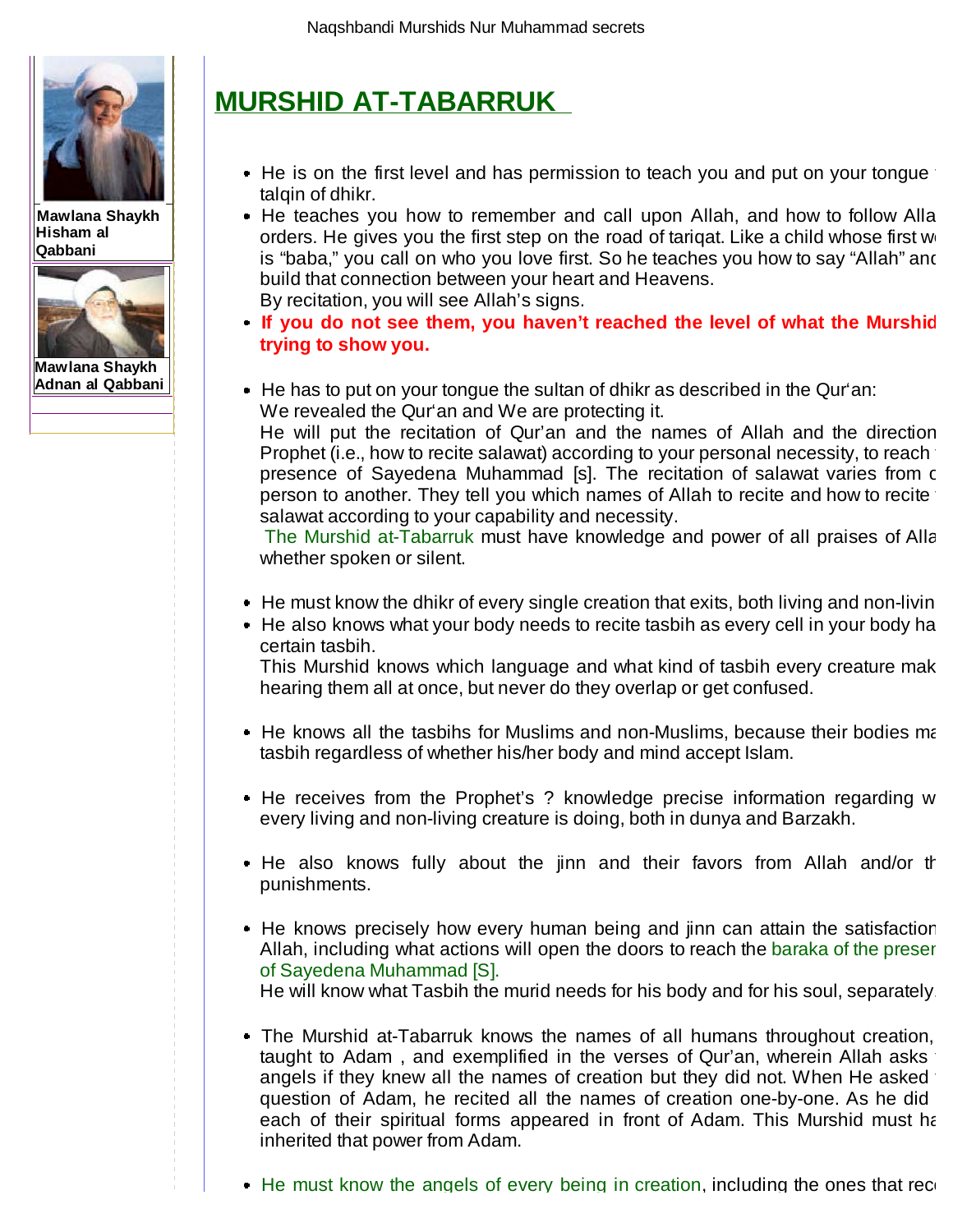

**Mawlana Shaykh Hisham al Qabbani**



**Mawlana Shaykh Adnan al Qabbani**

# **MURSHID AT-TABARRUK**

- He is on the first level and has permission to teach you and put on your tongue talqin of dhikr.
- He teaches you how to remember and call upon Allah, and how to follow Alla orders. He gives you the first step on the road of tarigat. Like a child whose first  $w_1$ is "baba," you call on who you love first. So he teaches you how to say "Allah" and build that connection between your heart and Heavens. By recitation, you will see Allah's signs.
- **If you do not see them, you haven't reached the level of what the Murshid trying to show you.**
- He has to put on your tongue the sultan of dhikr as described in the Qur'an: We revealed the Qur'an and We are protecting it.

He will put the recitation of Qur'an and the names of Allah and the direction Prophet (i.e., how to recite salawat) according to your personal necessity, to reach presence of Sayedena Muhammad [s]. The recitation of salawat varies from o person to another. They tell you which names of Allah to recite and how to recite salawat according to your capability and necessity.

The Murshid at-Tabarruk must have knowledge and power of all praises of Alla whether spoken or silent.

- $\blacksquare$  He must know the dhikr of every single creation that exits, both living and non-living
- He also knows what your body needs to recite tasbih as every cell in your body ha certain tasbih.

This Murshid knows which language and what kind of tasbih every creature make hearing them all at once, but never do they overlap or get confused.

- He knows all the tasbihs for Muslims and non-Muslims, because their bodies ma tasbih regardless of whether his/her body and mind accept Islam.
- He receives from the Prophet's ? knowledge precise information regarding w every living and non-living creature is doing, both in dunya and Barzakh.
- He also knows fully about the jinn and their favors from Allah and/or the punishments.
- He knows precisely how every human being and jinn can attain the satisfaction Allah, including what actions will open the doors to reach the baraka of the presen of Sayedena Muhammad [S]. He will know what Tasbih the murid needs for his body and for his soul, separately.

The Murshid at-Tabarruk knows the names of all humans throughout creation, taught to Adam, and exemplified in the verses of Qur'an, wherein Allah asks angels if they knew all the names of creation but they did not. When He asked question of Adam, he recited all the names of creation one-by-one. As he did each of their spiritual forms appeared in front of Adam. This Murshid must ha

 $\bullet$  He must know the angels of every being in creation, including the ones that record

inherited that power from Adam.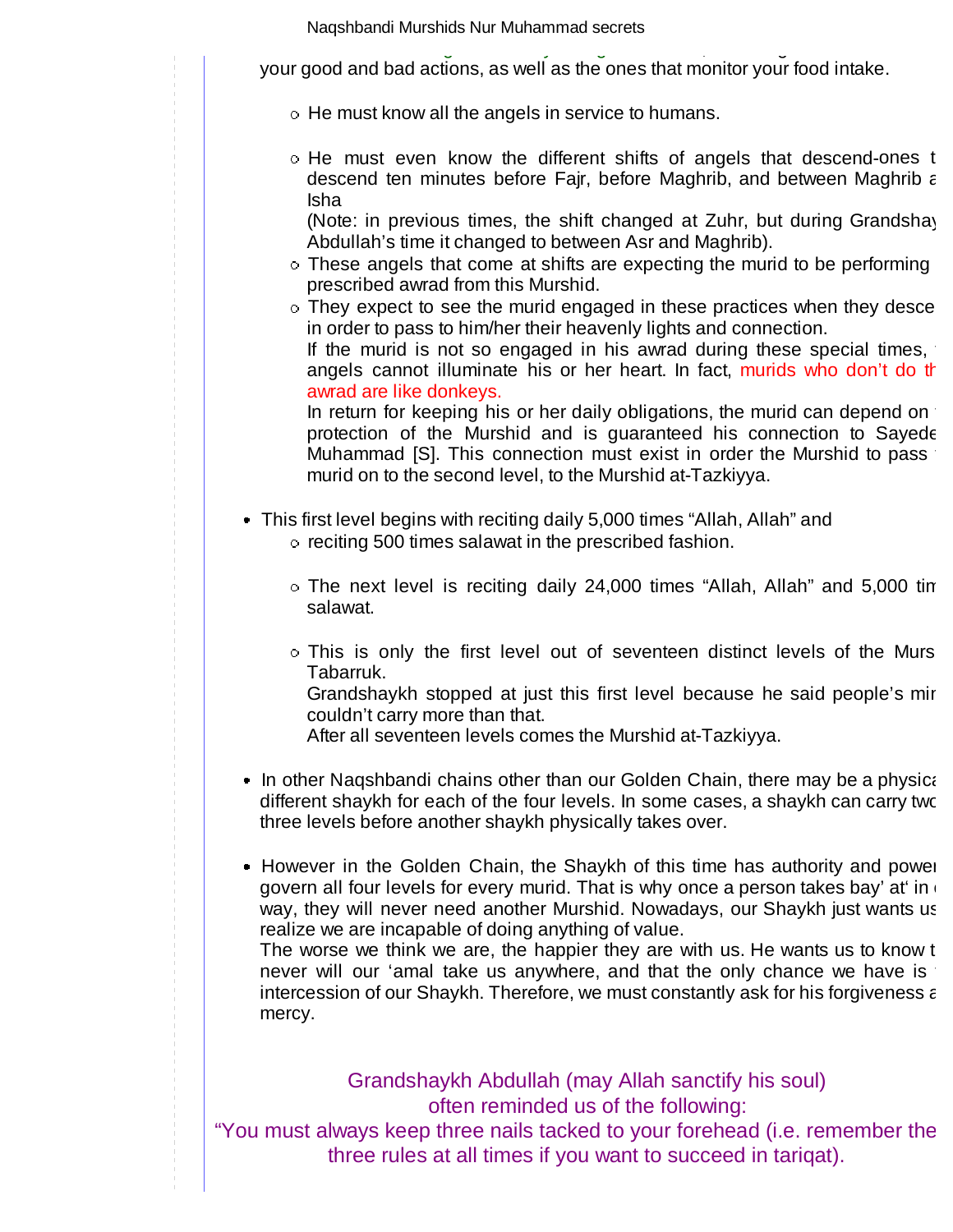He must know the angels of every being in creation, including the ones that reco your good and bad actions, as well as the ones that monitor your food intake.

o He must know all the angels in service to humans.

o He must even know the different shifts of angels that descend-ones the descend ten minutes before Fajr, before Maghrib, and between Maghrib a Isha

(Note: in previous times, the shift changed at Zuhr, but during Grandshay Abdullah's time it changed to between Asr and Maghrib).

- $\circ$  These angels that come at shifts are expecting the murid to be performing prescribed awrad from this Murshid.
- o They expect to see the murid engaged in these practices when they desce in order to pass to him/her their heavenly lights and connection. If the murid is not so engaged in his awrad during these special times, angels cannot illuminate his or her heart. In fact, murids who don't do th awrad are like donkeys.

In return for keeping his or her daily obligations, the murid can depend on protection of the Murshid and is guaranteed his connection to Sayede Muhammad [S]. This connection must exist in order the Murshid to pass murid on to the second level, to the Murshid at-Tazkiyya.

- This first level begins with reciting daily 5,000 times "Allah, Allah" and o reciting 500 times salawat in the prescribed fashion.
	- The next level is reciting daily 24,000 times "Allah, Allah" and 5,000 tim salawat.
	- o This is only the first level out of seventeen distinct levels of the Murs Tabarruk.

Grandshaykh stopped at just this first level because he said people's min couldn't carry more than that.

After all seventeen levels comes the Murshid at-Tazkiyya.

- In other Naqshbandi chains other than our Golden Chain, there may be a physica different shaykh for each of the four levels. In some cases, a shaykh can carry two three levels before another shaykh physically takes over.
- However in the Golden Chain, the Shaykh of this time has authority and power govern all four levels for every murid. That is why once a person takes bay' at in way, they will never need another Murshid. Nowadays, our Shaykh just wants us realize we are incapable of doing anything of value.

The worse we think we are, the happier they are with us. He wants us to know the never will our 'amal take us anywhere, and that the only chance we have is intercession of our Shaykh. Therefore, we must constantly ask for his forgiveness a mercy.

Grandshaykh Abdullah (may Allah sanctify his soul) often reminded us of the following: "You must always keep three nails tacked to your forehead (i.e. remember thes three rules at all times if you want to succeed in tariqat).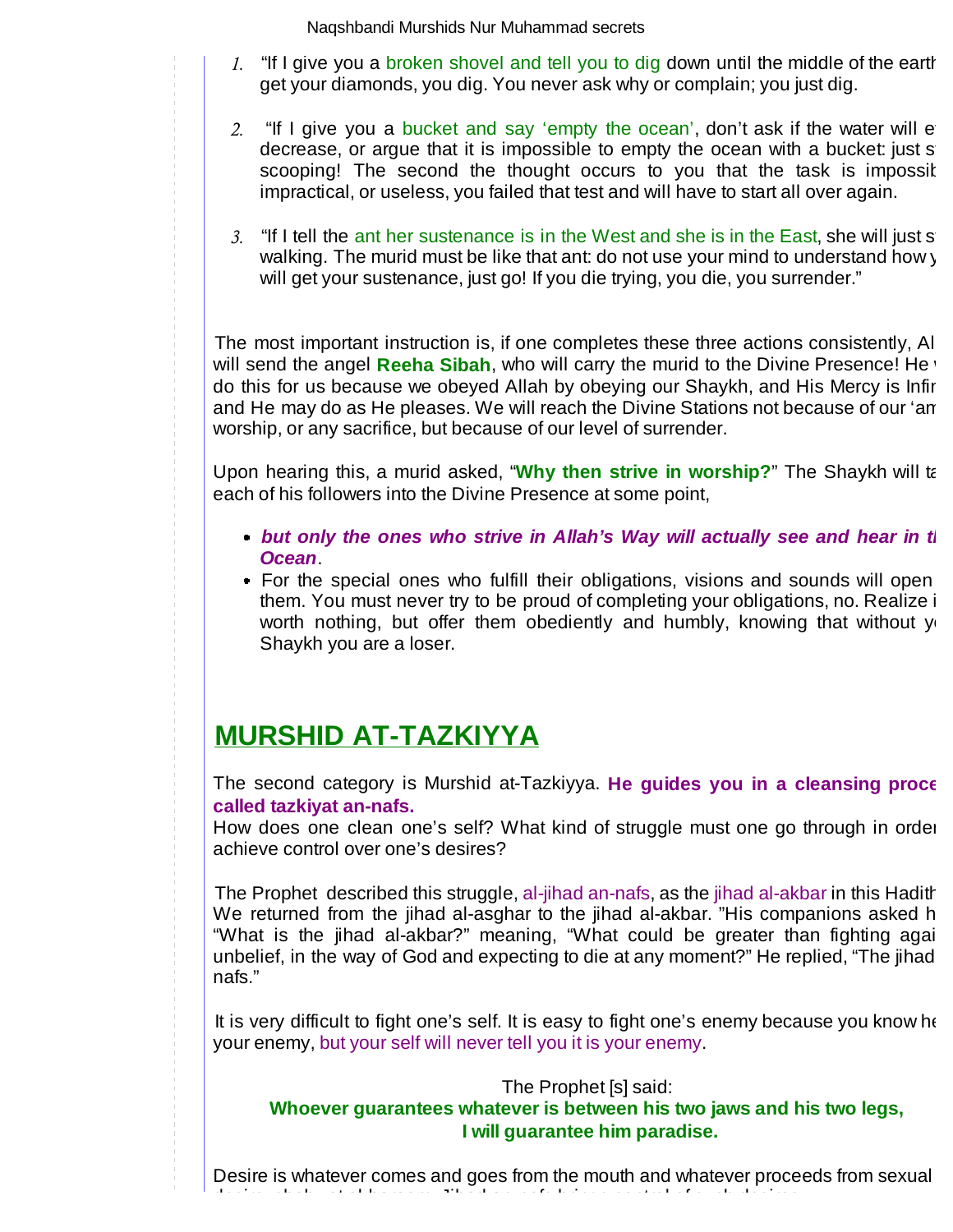- 1. "If I give you a broken shovel and tell you to dig down until the middle of the earth get your diamonds, you dig. You never ask why or complain; you just dig.
- 2. "If I give you a bucket and say 'empty the ocean', don't ask if the water will e decrease, or argue that it is impossible to empty the ocean with a bucket: just s scooping! The second the thought occurs to you that the task is impossit impractical, or useless, you failed that test and will have to start all over again.
- 3. "If I tell the ant her sustenance is in the West and she is in the East, she will just s walking. The murid must be like that ant: do not use your mind to understand how y will get your sustenance, just go! If you die trying, you die, you surrender."

The most important instruction is, if one completes these three actions consistently, All will send the angel Reeha Sibah, who will carry the murid to the Divine Presence! He do this for us because we obeyed Allah by obeying our Shaykh, and His Mercy is Infin and He may do as He pleases. We will reach the Divine Stations not because of our 'am worship, or any sacrifice, but because of our level of surrender.

Upon hearing this, a murid asked, "**Why then strive in worship?**" The Shaykh will ta each of his followers into the Divine Presence at some point,

- **but only the ones who strive in Allah's Way will actually see and hear in the hear in the hear in the hear in the hear in the hear in the hear in the hear in the hear in the hear in the hear in the hear in the hear in the Ocean**.
- For the special ones who fulfill their obligations, visions and sounds will open them. You must never try to be proud of completing your obligations, no. Realize it worth nothing, but offer them obediently and humbly, knowing that without  $y_1$ Shaykh you are a loser.

# **MURSHID AT-TAZKIYYA**

The second category is Murshid at-Tazkiyya. **He guides you in a cleansing proce called tazkiyat an-nafs.** 

How does one clean one's self? What kind of struggle must one go through in order achieve control over one's desires?

The Prophet described this struggle, al-jihad an-nafs, as the jihad al-akbar in this Hadith We returned from the jihad al-asghar to the jihad al-akbar. "His companions asked h "What is the jihad al-akbar?" meaning, "What could be greater than fighting agai unbelief, in the way of God and expecting to die at any moment?" He replied, "The jihad nafs."

It is very difficult to fight one's self. It is easy to fight one's enemy because you know he your enemy, but your self will never tell you it is your enemy.

The Prophet [s] said:

## **Whoever guarantees whatever is between his two jaws and his two legs, I will guarantee him paradise.**

Desire is whatever comes and goes from the mouth and whatever proceeds from sexual desire, shahwat al-haraam. Jihad an-nafs brings control of such desires.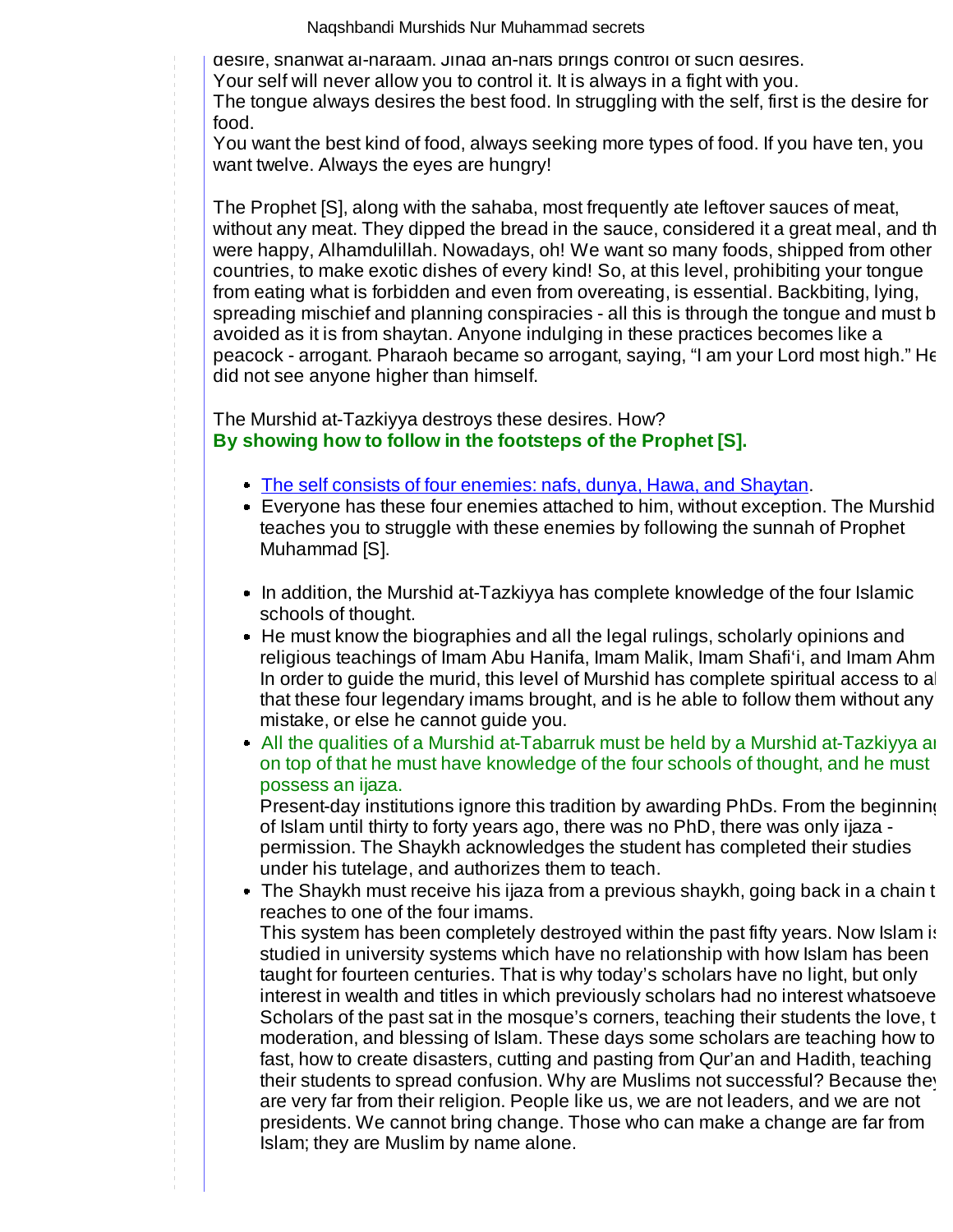desire, shahwat al-haraam. Jihad an-nafs brings control of such desires.

Your self will never allow you to control it. It is always in a fight with you.

The tongue always desires the best food. In struggling with the self, first is the desire for food.

You want the best kind of food, always seeking more types of food. If you have ten, you want twelve. Always the eyes are hungry!

The Prophet [S], along with the sahaba, most frequently ate leftover sauces of meat, without any meat. They dipped the bread in the sauce, considered it a great meal, and the were happy, Alhamdulillah. Nowadays, oh! We want so many foods, shipped from other countries, to make exotic dishes of every kind! So, at this level, prohibiting your tongue from eating what is forbidden and even from overeating, is essential. Backbiting, lying, spreading mischief and planning conspiracies - all this is through the tongue and must b avoided as it is from shaytan. Anyone indulging in these practices becomes like a peacock - arrogant. Pharaoh became so arrogant, saying, "I am your Lord most high." He did not see anyone higher than himself.

The Murshid at-Tazkiyya destroys these desires. How? **By showing how to follow in the footsteps of the Prophet [S].** 

- The self consists of four enemies: nafs, dunya, Hawa, and Shaytan.
- Everyone has these four enemies attached to him, without exception. The Murshid teaches you to struggle with these enemies by following the sunnah of Prophet Muhammad [S].
- In addition, the Murshid at-Tazkiyya has complete knowledge of the four Islamic schools of thought.
- He must know the biographies and all the legal rulings, scholarly opinions and religious teachings of Imam Abu Hanifa, Imam Malik, Imam Shafi'i, and Imam Ahm In order to guide the murid, this level of Murshid has complete spiritual access to al that these four legendary imams brought, and is he able to follow them without any mistake, or else he cannot guide you.
- All the qualities of a Murshid at-Tabarruk must be held by a Murshid at-Tazkiyya an on top of that he must have knowledge of the four schools of thought, and he must possess an ijaza.

Present-day institutions ignore this tradition by awarding PhDs. From the beginning of Islam until thirty to forty years ago, there was no PhD, there was only ijaza permission. The Shaykh acknowledges the student has completed their studies under his tutelage, and authorizes them to teach.

• The Shaykh must receive his ijaza from a previous shaykh, going back in a chain th reaches to one of the four imams.

This system has been completely destroyed within the past fifty years. Now Islam is studied in university systems which have no relationship with how Islam has been taught for fourteen centuries. That is why today's scholars have no light, but only interest in wealth and titles in which previously scholars had no interest whatsoeve Scholars of the past sat in the mosque's corners, teaching their students the love, the moderation, and blessing of Islam. These days some scholars are teaching how to fast, how to create disasters, cutting and pasting from Qur'an and Hadith, teaching their students to spread confusion. Why are Muslims not successful? Because they are very far from their religion. People like us, we are not leaders, and we are not presidents. We cannot bring change. Those who can make a change are far from Islam; they are Muslim by name alone.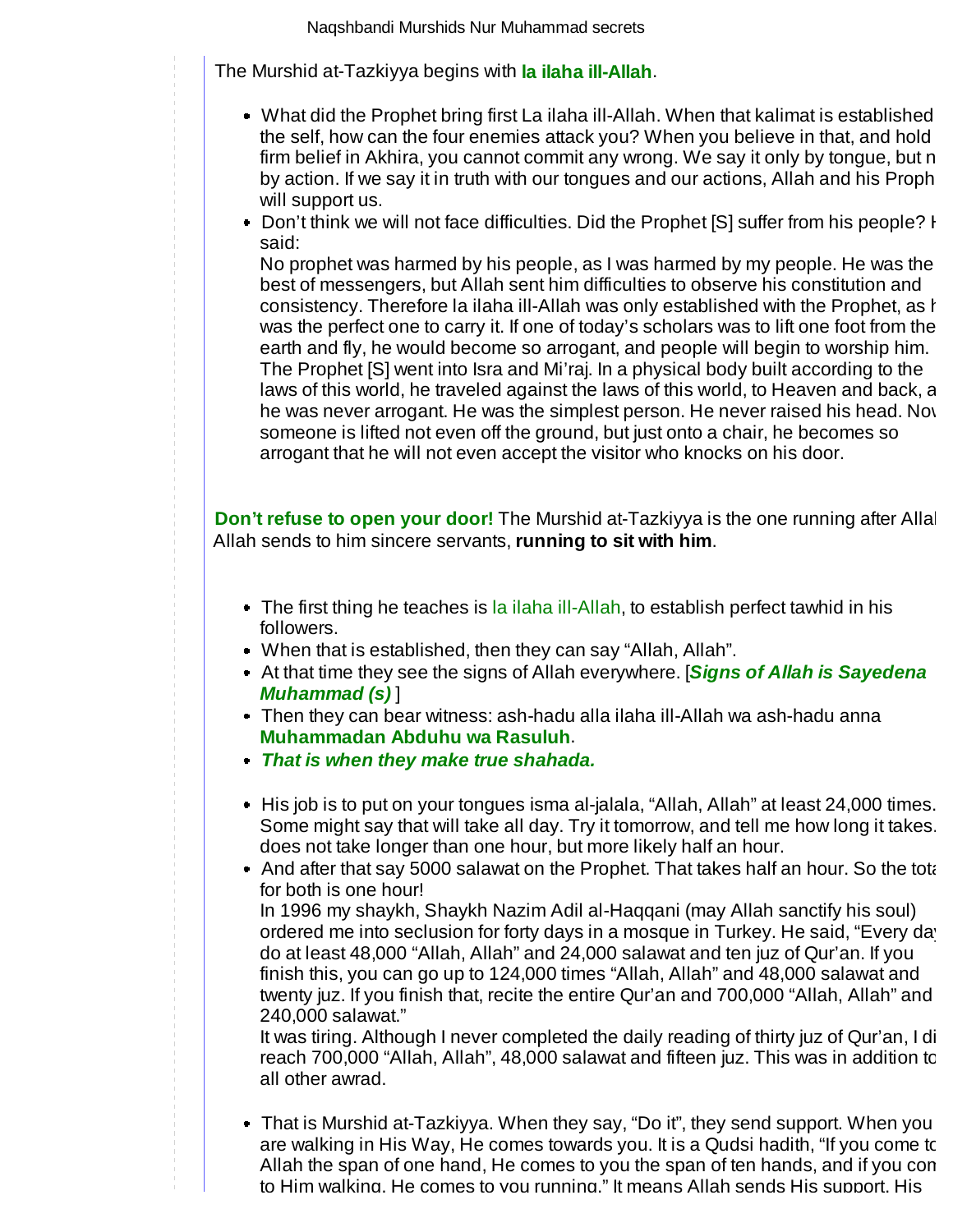The Murshid at-Tazkiyya begins with **la ilaha ill-Allah**.

- What did the Prophet bring first La ilaha ill-Allah. When that kalimat is established the self, how can the four enemies attack you? When you believe in that, and hold firm belief in Akhira, you cannot commit any wrong. We say it only by tongue, but n by action. If we say it in truth with our tongues and our actions, Allah and his Proph will support us.
- Don't think we will not face difficulties. Did the Prophet [S] suffer from his people? H said:

No prophet was harmed by his people, as I was harmed by my people. He was the best of messengers, but Allah sent him difficulties to observe his constitution and consistency. Therefore la ilaha ill-Allah was only established with the Prophet, as h was the perfect one to carry it. If one of today's scholars was to lift one foot from the earth and fly, he would become so arrogant, and people will begin to worship him. The Prophet [S] went into Isra and Mi'raj. In a physical body built according to the laws of this world, he traveled against the laws of this world, to Heaven and back, a he was never arrogant. He was the simplest person. He never raised his head. Now someone is lifted not even off the ground, but just onto a chair, he becomes so arrogant that he will not even accept the visitor who knocks on his door.

**Don't refuse to open your door!** The Murshid at-Tazkiyya is the one running after Allah Allah sends to him sincere servants, **running to sit with him**.

- The first thing he teaches is la ilaha ill-Allah, to establish perfect tawhid in his followers.
- When that is established, then they can say "Allah, Allah".
- At that time they see the signs of Allah everywhere. [**Signs of Allah is Sayedena Muhammad (s)** ]
- Then they can bear witness: ash-hadu alla ilaha ill-Allah wa ash-hadu anna **Muhammadan Abduhu wa Rasuluh**.
- **That is when they make true shahada.**
- His job is to put on your tongues isma al-jalala, "Allah, Allah" at least 24,000 times. Some might say that will take all day. Try it tomorrow, and tell me how long it takes. does not take longer than one hour, but more likely half an hour.
- And after that say 5000 salawat on the Prophet. That takes half an hour. So the total for both is one hour!

In 1996 my shaykh, Shaykh Nazim Adil al-Haqqani (may Allah sanctify his soul) ordered me into seclusion for forty days in a mosque in Turkey. He said, "Every day do at least 48,000 "Allah, Allah" and 24,000 salawat and ten juz of Qur'an. If you finish this, you can go up to 124,000 times "Allah, Allah" and 48,000 salawat and twenty juz. If you finish that, recite the entire Qur'an and 700,000 "Allah, Allah" and 240,000 salawat."

It was tiring. Although I never completed the daily reading of thirty juz of Qur'an, I di reach 700,000 "Allah, Allah", 48,000 salawat and fifteen juz. This was in addition to all other awrad.

That is Murshid at-Tazkiyya. When they say, "Do it", they send support. When you are walking in His Way, He comes towards you. It is a Qudsi hadith, "If you come to Allah the span of one hand, He comes to you the span of ten hands, and if you com to Him walking, He comes to you running." It means Allah sends His support, His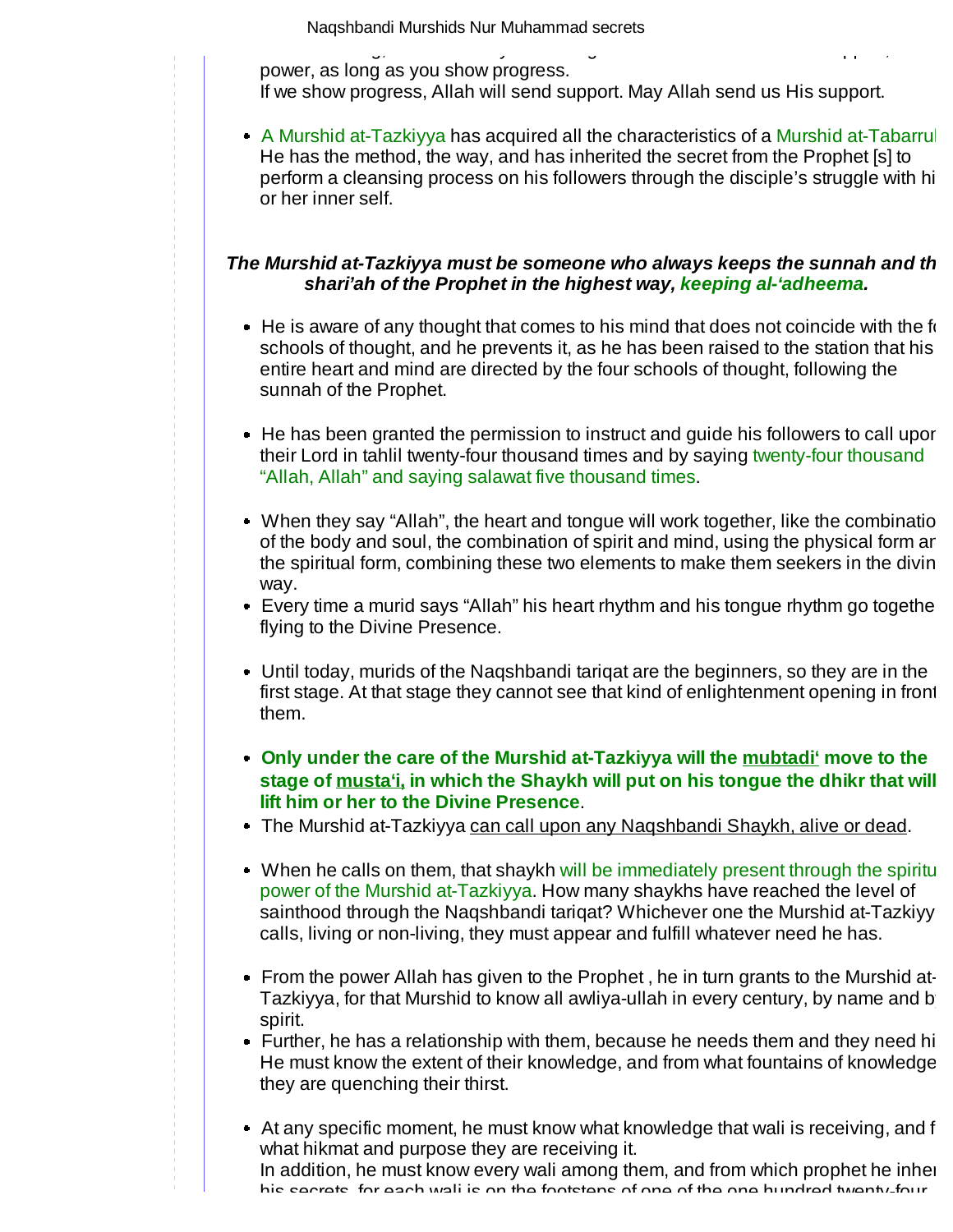to Him walking, He comes to you running." It means Allah sends His support, His power, as long as you show progress.

If we show progress, Allah will send support. May Allah send us His support.

• A Murshid at-Tazkiyya has acquired all the characteristics of a Murshid at-Tabarrul He has the method, the way, and has inherited the secret from the Prophet [s] to perform a cleansing process on his followers through the disciple's struggle with hi or her inner self.

#### The Murshid at-Tazkiyya must be someone who always keeps the sunnah and th **shari'ah of the Prophet in the highest way, keeping al-'adheema.**

- $\bullet$  He is aware of any thought that comes to his mind that does not coincide with the forschools of thought, and he prevents it, as he has been raised to the station that his entire heart and mind are directed by the four schools of thought, following the sunnah of the Prophet.
- He has been granted the permission to instruct and guide his followers to call upor their Lord in tahlil twenty-four thousand times and by saying twenty-four thousand "Allah, Allah" and saying salawat five thousand times.
- $\bullet$  When they say "Allah", the heart and tongue will work together, like the combination of the body and soul, the combination of spirit and mind, using the physical form an the spiritual form, combining these two elements to make them seekers in the divin way.
- Every time a murid says "Allah" his heart rhythm and his tongue rhythm go togethe flying to the Divine Presence.
- Until today, murids of the Naqshbandi tariqat are the beginners, so they are in the first stage. At that stage they cannot see that kind of enlightenment opening in front them.
- **Only under the care of the Murshid at-Tazkiyya will the mubtadi' move to the stage of musta'i, in which the Shaykh will put on his tongue the dhikr that will lift him or her to the Divine Presence**.
- The Murshid at-Tazkiyya can call upon any Naqshbandi Shaykh, alive or dead.
- When he calls on them, that shaykh will be immediately present through the spiritual power of the Murshid at-Tazkiyya. How many shaykhs have reached the level of sainthood through the Naqshbandi tariqat? Whichever one the Murshid at-Tazkiyy calls, living or non-living, they must appear and fulfill whatever need he has.
- From the power Allah has given to the Prophet, he in turn grants to the Murshid at-Tazkiyya, for that Murshid to know all awliya-ullah in every century, by name and b spirit.
- Further, he has a relationship with them, because he needs them and they need hi He must know the extent of their knowledge, and from what fountains of knowledge they are quenching their thirst.
- $\bullet$  At any specific moment, he must know what knowledge that wali is receiving, and f what hikmat and purpose they are receiving it. In addition, he must know every wali among them, and from which prophet he inher his secrets, for each wali is on the footsteps of one of the one hundred twenty-four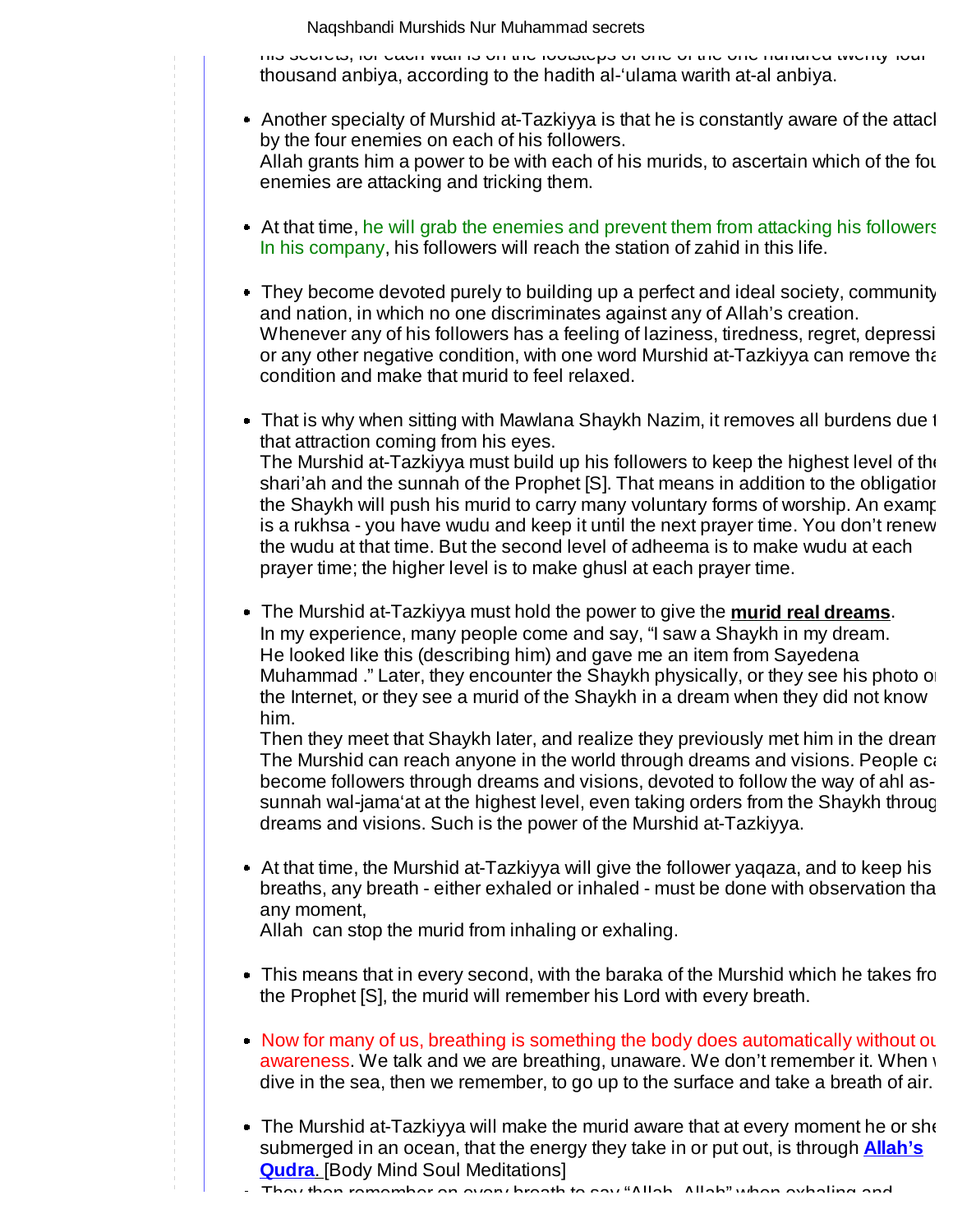his secrets, for each wali is on the footsteps of one of the one hundred twenty-four thousand anbiya, according to the hadith al-'ulama warith at-al anbiya.

- Another specialty of Murshid at-Tazkiyya is that he is constantly aware of the attacl by the four enemies on each of his followers. Allah grants him a power to be with each of his murids, to ascertain which of the fou enemies are attacking and tricking them.
- At that time, he will grab the enemies and prevent them from attacking his followers In his company, his followers will reach the station of zahid in this life.
- They become devoted purely to building up a perfect and ideal society, community and nation, in which no one discriminates against any of Allah's creation. Whenever any of his followers has a feeling of laziness, tiredness, regret, depressi or any other negative condition, with one word Murshid at-Tazkiyya can remove tha condition and make that murid to feel relaxed.
- That is why when sitting with Mawlana Shaykh Nazim, it removes all burdens due to that attraction coming from his eyes. The Murshid at-Tazkiyya must build up his followers to keep the highest level of the shari'ah and the sunnah of the Prophet [S]. That means in addition to the obligation the Shaykh will push his murid to carry many voluntary forms of worship. An examp is a rukhsa - you have wudu and keep it until the next prayer time. You don't renew the wudu at that time. But the second level of adheema is to make wudu at each
- The Murshid at-Tazkiyya must hold the power to give the **murid real dreams**. In my experience, many people come and say, "I saw a Shaykh in my dream. He looked like this (describing him) and gave me an item from Sayedena Muhammad ." Later, they encounter the Shaykh physically, or they see his photo on the Internet, or they see a murid of the Shaykh in a dream when they did not know him.

prayer time; the higher level is to make ghusl at each prayer time.

Then they meet that Shaykh later, and realize they previously met him in the dream The Murshid can reach anyone in the world through dreams and visions. People ca become followers through dreams and visions, devoted to follow the way of ahl assunnah wal-jama'at at the highest level, even taking orders from the Shaykh throug dreams and visions. Such is the power of the Murshid at-Tazkiyya.

At that time, the Murshid at-Tazkiyya will give the follower yaqaza, and to keep his breaths, any breath - either exhaled or inhaled - must be done with observation that any moment,

Allah can stop the murid from inhaling or exhaling.

- This means that in every second, with the baraka of the Murshid which he takes from the Prophet [S], the murid will remember his Lord with every breath.
- Now for many of us, breathing is something the body does automatically without ou awareness. We talk and we are breathing, unaware. We don't remember it. When w dive in the sea, then we remember, to go up to the surface and take a breath of air.
- The Murshid at-Tazkiyya will make the murid aware that at every moment he or she submerged in an ocean, that the energy they take in or put out, is through **Allah's Qudra**. [Body Mind Soul Meditations]

They then remember on every breath to say "Allah, Allah" when exhaling and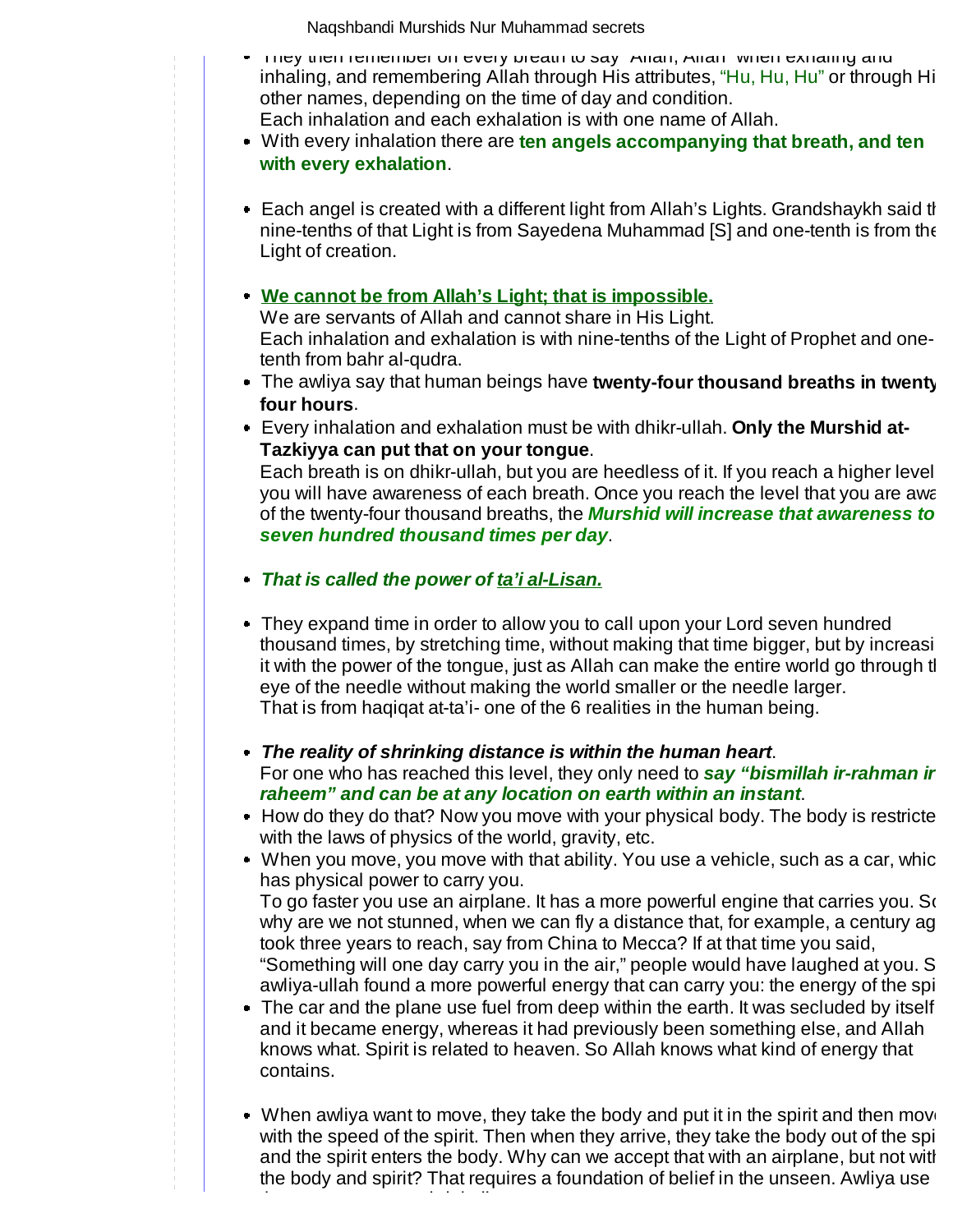- They then remember on every breath to say "Allah, Allah" when exhaling and inhaling, and remembering Allah through His attributes, "Hu, Hu, Hu" or through Hi other names, depending on the time of day and condition. Each inhalation and each exhalation is with one name of Allah.
- With every inhalation there are **ten angels accompanying that breath, and ten with every exhalation**.
- Each angel is created with a different light from Allah's Lights. Grandshaykh said th nine-tenths of that Light is from Sayedena Muhammad [S] and one-tenth is from the Light of creation.

## **We cannot be from Allah's Light; that is impossible.**

We are servants of Allah and cannot share in His Light. Each inhalation and exhalation is with nine-tenths of the Light of Prophet and onetenth from bahr al-qudra.

- The awliya say that human beings have **twenty-four thousand breaths in twenty four hours**.
- Every inhalation and exhalation must be with dhikr-ullah. **Only the Murshid at-Tazkiyya can put that on your tongue**.

Each breath is on dhikr-ullah, but you are heedless of it. If you reach a higher level, you will have awareness of each breath. Once you reach the level that you are awa of the twenty-four thousand breaths, the **Murshid will increase that awareness to seven hundred thousand times per day**.

**That is called the power of ta'i al-Lisan.** 

that same power to shrink distances.

- They expand time in order to allow you to call upon your Lord seven hundred thousand times, by stretching time, without making that time bigger, but by increasing it with the power of the tongue, just as Allah can make the entire world go through the eye of the needle without making the world smaller or the needle larger. That is from haqiqat at-ta'i- one of the 6 realities in the human being.
- **The reality of shrinking distance is within the human heart**. For one who has reached this level, they only need to **say "bismillah ir-rahman ir raheem" and can be at any location on earth within an instant**.
- How do they do that? Now you move with your physical body. The body is restricte with the laws of physics of the world, gravity, etc.
- When you move, you move with that ability. You use a vehicle, such as a car, whic has physical power to carry you.

To go faster you use an airplane. It has a more powerful engine that carries you. So why are we not stunned, when we can fly a distance that, for example, a century ag took three years to reach, say from China to Mecca? If at that time you said, "Something will one day carry you in the air," people would have laughed at you. S awliya-ullah found a more powerful energy that can carry you: the energy of the spi

• The car and the plane use fuel from deep within the earth. It was secluded by itself and it became energy, whereas it had previously been something else, and Allah knows what. Spirit is related to heaven. So Allah knows what kind of energy that contains.

When awliya want to move, they take the body and put it in the spirit and then move with the speed of the spirit. Then when they arrive, they take the body out of the spirity and the spirit enters the body. Why can we accept that with an airplane, but not with the body and spirit? That requires a foundation of belief in the unseen. Awliya use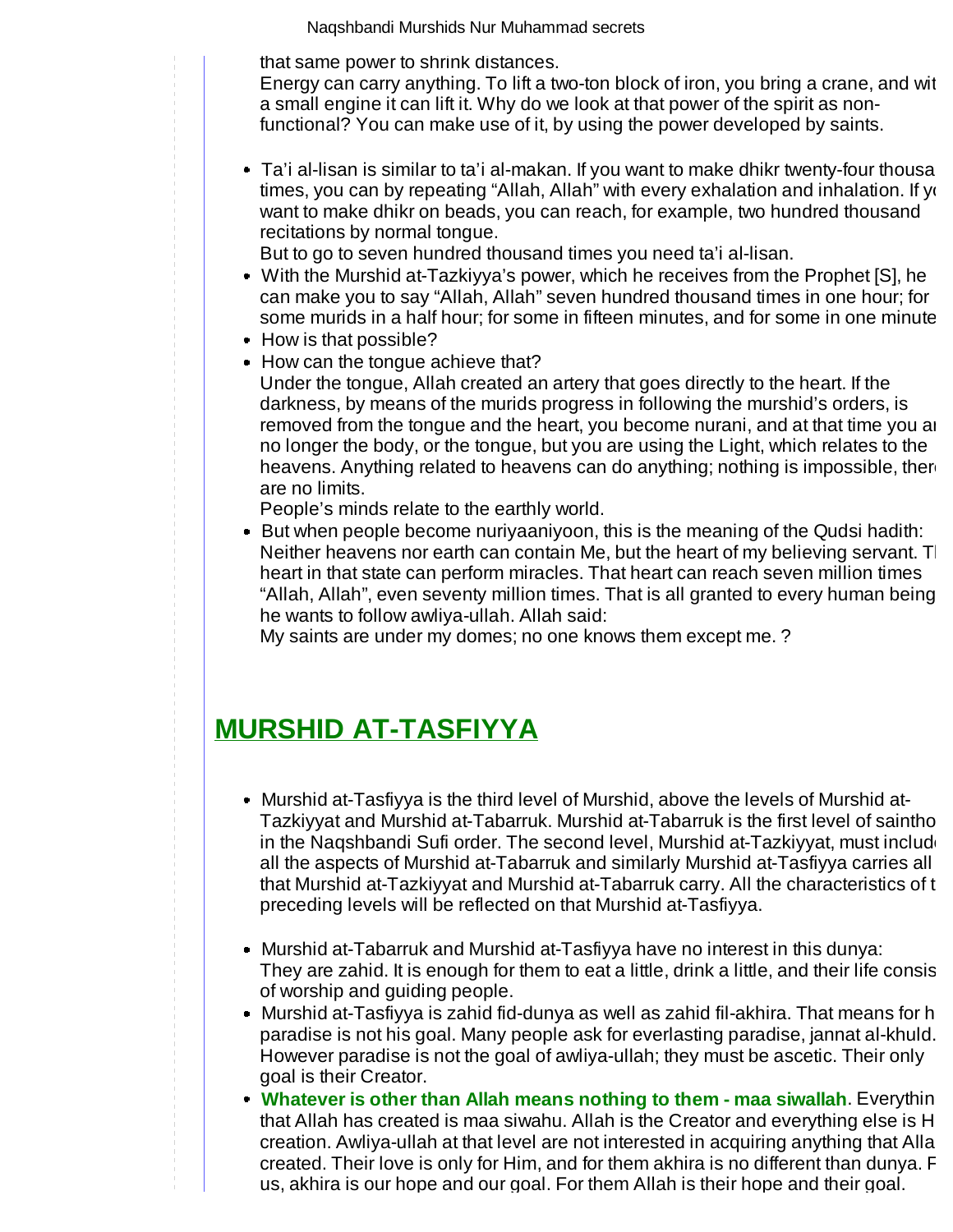that same power to shrink distances.

Energy can carry anything. To lift a two-ton block of iron, you bring a crane, and with a small engine it can lift it. Why do we look at that power of the spirit as nonfunctional? You can make use of it, by using the power developed by saints.

 $\bullet$  Ta'i al-lisan is similar to ta'i al-makan. If you want to make dhikr twenty-four thousa times, you can by repeating "Allah, Allah" with every exhalation and inhalation. If ye want to make dhikr on beads, you can reach, for example, two hundred thousand recitations by normal tongue.

But to go to seven hundred thousand times you need ta'i al-lisan.

- With the Murshid at-Tazkiyya's power, which he receives from the Prophet [S], he can make you to say "Allah, Allah" seven hundred thousand times in one hour; for some murids in a half hour; for some in fifteen minutes, and for some in one minute.
- How is that possible?
- How can the tongue achieve that? Under the tongue, Allah created an artery that goes directly to the heart. If the darkness, by means of the murids progress in following the murshid's orders, is removed from the tongue and the heart, you become nurani, and at that time you ar no longer the body, or the tongue, but you are using the Light, which relates to the heavens. Anything related to heavens can do anything; nothing is impossible, there are no limits.

People's minds relate to the earthly world.

But when people become nuriyaaniyoon, this is the meaning of the Qudsi hadith: Neither heavens nor earth can contain Me, but the heart of my believing servant.  $T$ heart in that state can perform miracles. That heart can reach seven million times "Allah, Allah", even seventy million times. That is all granted to every human being, he wants to follow awliya-ullah. Allah said:

My saints are under my domes; no one knows them except me. ?

# **MURSHID AT-TASFIYYA**

- Murshid at-Tasfiyya is the third level of Murshid, above the levels of Murshid at-Tazkiyyat and Murshid at-Tabarruk. Murshid at-Tabarruk is the first level of saintho in the Naqshbandi Sufi order. The second level, Murshid at-Tazkiyyat, must include all the aspects of Murshid at-Tabarruk and similarly Murshid at-Tasfiyya carries all that Murshid at-Tazkiyyat and Murshid at-Tabarruk carry. All the characteristics of th preceding levels will be reflected on that Murshid at-Tasfiyya.
- Murshid at-Tabarruk and Murshid at-Tasfiyya have no interest in this dunya: They are zahid. It is enough for them to eat a little, drink a little, and their life consis of worship and guiding people.
- Murshid at-Tasfiyya is zahid fid-dunya as well as zahid fil-akhira. That means for h paradise is not his goal. Many people ask for everlasting paradise, jannat al-khuld. However paradise is not the goal of awliya-ullah; they must be ascetic. Their only goal is their Creator.
- **Whatever is other than Allah means nothing to them maa siwallah.** Everythin that Allah has created is maa siwahu. Allah is the Creator and everything else is H creation. Awliya-ullah at that level are not interested in acquiring anything that Allah created. Their love is only for Him, and for them akhira is no different than dunya. F us, akhira is our hope and our goal. For them Allah is their hope and their goal.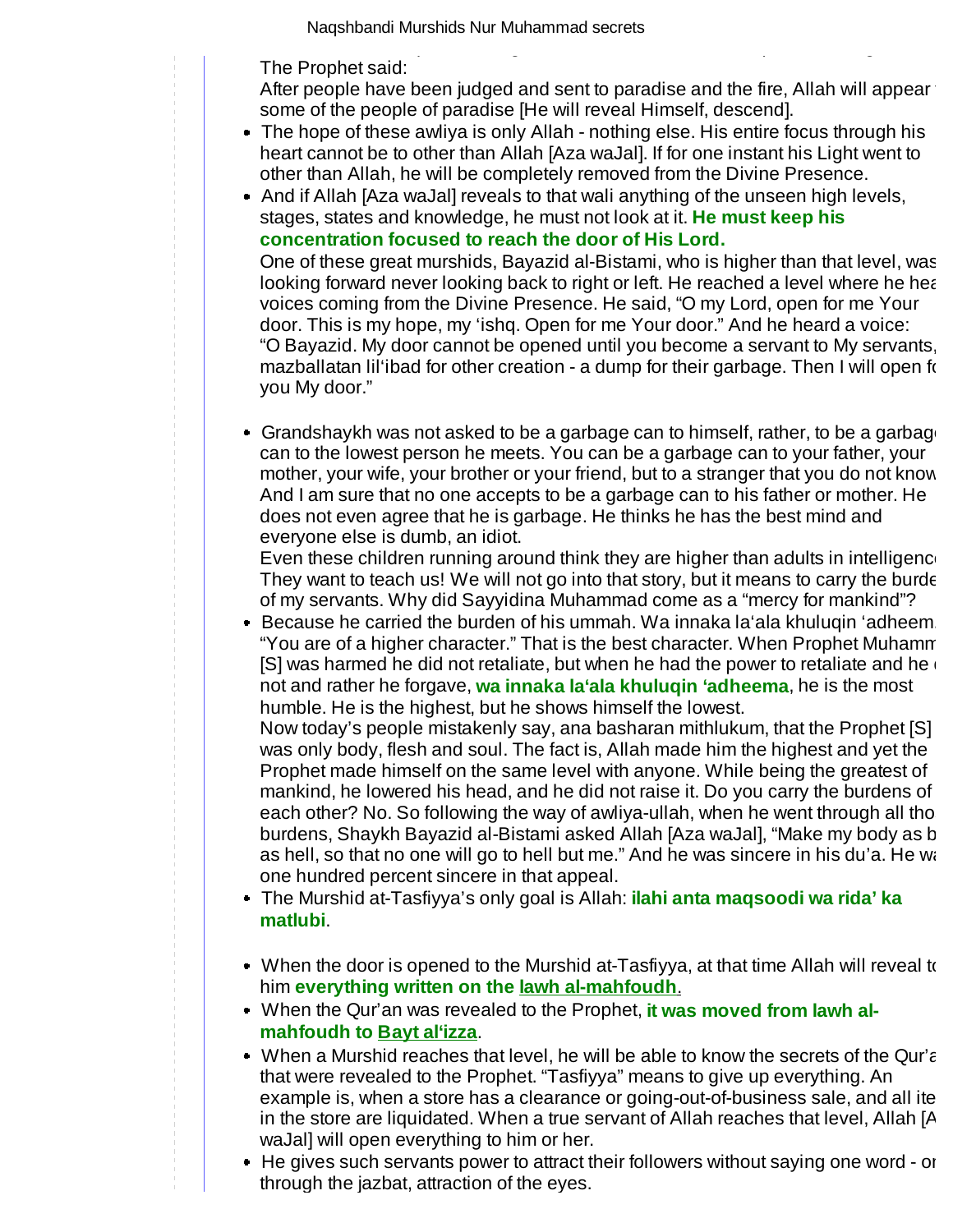us, akhira is our hope and our goal. For them Allah is their hope and their goal. The Prophet said:

After people have been judged and sent to paradise and the fire, Allah will appear some of the people of paradise [He will reveal Himself, descend].

- The hope of these awliya is only Allah nothing else. His entire focus through his heart cannot be to other than Allah [Aza waJal]. If for one instant his Light went to other than Allah, he will be completely removed from the Divine Presence.
- And if Allah [Aza waJal] reveals to that wali anything of the unseen high levels, stages, states and knowledge, he must not look at it. **He must keep his concentration focused to reach the door of His Lord.**

One of these great murshids, Bayazid al-Bistami, who is higher than that level, was looking forward never looking back to right or left. He reached a level where he hear voices coming from the Divine Presence. He said, "O my Lord, open for me Your door. This is my hope, my 'ishq. Open for me Your door." And he heard a voice: "O Bayazid. My door cannot be opened until you become a servant to My servants, mazballatan lil'ibad for other creation - a dump for their garbage. Then I will open fo you My door."

Grandshaykh was not asked to be a garbage can to himself, rather, to be a garbage can to the lowest person he meets. You can be a garbage can to your father, your mother, your wife, your brother or your friend, but to a stranger that you do not know And I am sure that no one accepts to be a garbage can to his father or mother. He does not even agree that he is garbage. He thinks he has the best mind and everyone else is dumb, an idiot.

Even these children running around think they are higher than adults in intelligence They want to teach us! We will not go into that story, but it means to carry the burde of my servants. Why did Sayyidina Muhammad come as a "mercy for mankind"?

Because he carried the burden of his ummah. Wa innaka la'ala khuluqin 'adheem. "You are of a higher character." That is the best character. When Prophet Muhamm [S] was harmed he did not retaliate, but when he had the power to retaliate and he not and rather he forgave, **wa innaka la'ala khuluqin 'adheema**, he is the most humble. He is the highest, but he shows himself the lowest.

Now today's people mistakenly say, ana basharan mithlukum, that the Prophet [S] was only body, flesh and soul. The fact is, Allah made him the highest and yet the Prophet made himself on the same level with anyone. While being the greatest of mankind, he lowered his head, and he did not raise it. Do you carry the burdens of each other? No. So following the way of awliya-ullah, when he went through all tho burdens, Shaykh Bayazid al-Bistami asked Allah [Aza waJal], "Make my body as bi as hell, so that no one will go to hell but me." And he was sincere in his du'a. He wa one hundred percent sincere in that appeal.

- The Murshid at-Tasfiyya's only goal is Allah: **ilahi anta maqsoodi wa rida' ka matlubi**.
- When the door is opened to the Murshid at-Tasfiyya, at that time Allah will reveal to him **everything written on the lawh al-mahfoudh**.
- When the Qur'an was revealed to the Prophet, **it was moved from lawh almahfoudh to Bayt al'izza**.
- When a Murshid reaches that level, he will be able to know the secrets of the Qur'a that were revealed to the Prophet. "Tasfiyya" means to give up everything. An example is, when a store has a clearance or going-out-of-business sale, and all ite in the store are liquidated. When a true servant of Allah reaches that level, Allah [A waJal] will open everything to him or her.
- He gives such servants power to attract their followers without saying one word on through the jazbat, attraction of the eyes.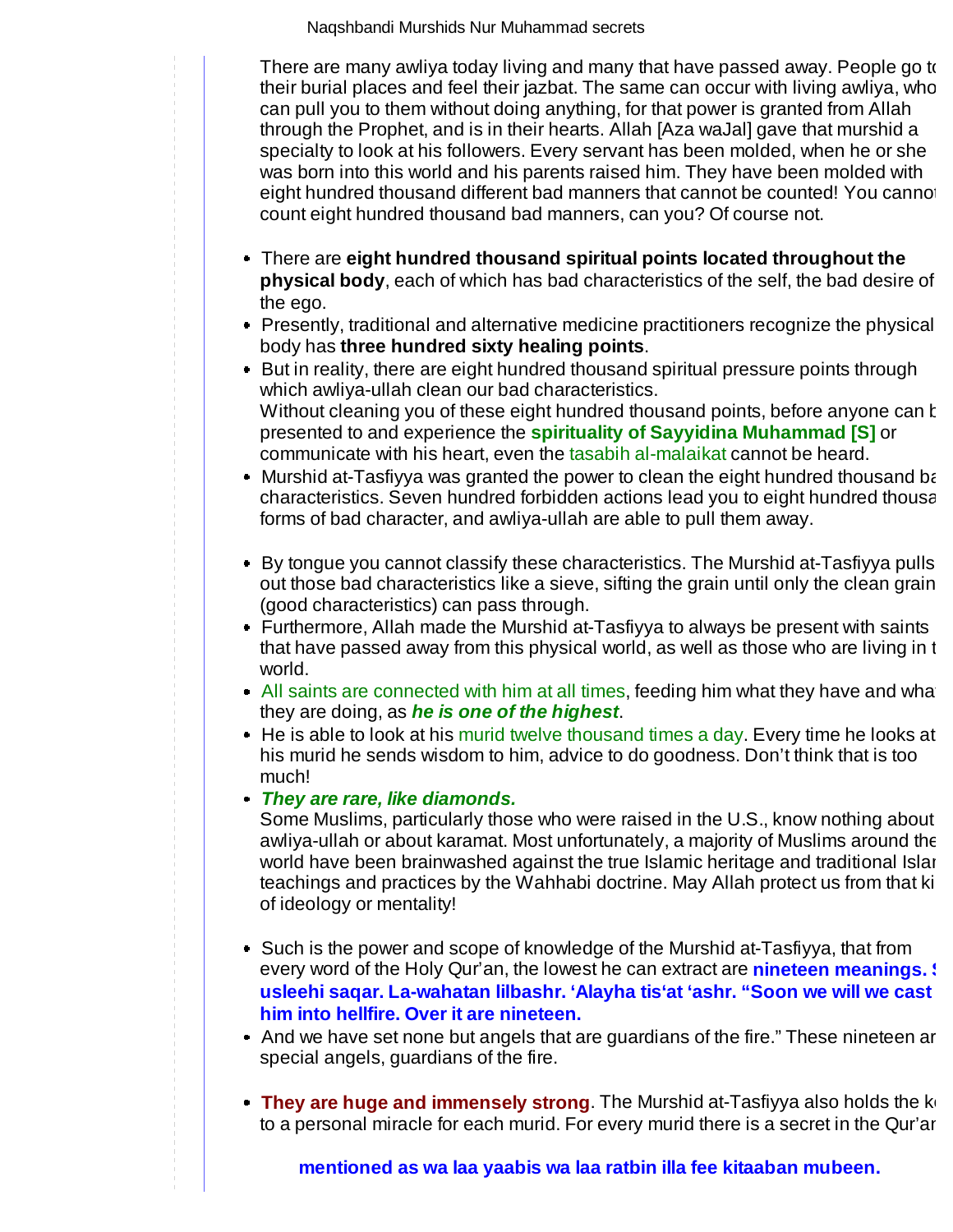through the jazbat, attraction of the eyes. There are many awliya today living and many that have passed away. People go to their burial places and feel their jazbat. The same can occur with living awliya, who can pull you to them without doing anything, for that power is granted from Allah through the Prophet, and is in their hearts. Allah [Aza waJal] gave that murshid a specialty to look at his followers. Every servant has been molded, when he or she was born into this world and his parents raised him. They have been molded with eight hundred thousand different bad manners that cannot be counted! You cannot count eight hundred thousand bad manners, can you? Of course not.

- There are **eight hundred thousand spiritual points located throughout the physical body**, each of which has bad characteristics of the self, the bad desire of the ego.
- Presently, traditional and alternative medicine practitioners recognize the physical body has **three hundred sixty healing points**.
- But in reality, there are eight hundred thousand spiritual pressure points through which awliya-ullah clean our bad characteristics. Without cleaning you of these eight hundred thousand points, before anyone can k presented to and experience the **spirituality of Sayyidina Muhammad [S]** or communicate with his heart, even the tasabih al-malaikat cannot be heard.
- Murshid at-Tasfiyya was granted the power to clean the eight hundred thousand ba characteristics. Seven hundred forbidden actions lead you to eight hundred thousa forms of bad character, and awliya-ullah are able to pull them away.
- By tongue you cannot classify these characteristics. The Murshid at-Tasfiyya pulls out those bad characteristics like a sieve, sifting the grain until only the clean grain (good characteristics) can pass through.
- Furthermore, Allah made the Murshid at-Tasfiyya to always be present with saints that have passed away from this physical world, as well as those who are living in th world.
- $\blacksquare$  All saints are connected with him at all times, feeding him what they have and what they are doing, as **he is one of the highest**.
- He is able to look at his murid twelve thousand times a day. Every time he looks at his murid he sends wisdom to him, advice to do goodness. Don't think that is too much!
- **They are rare, like diamonds.**

Some Muslims, particularly those who were raised in the U.S., know nothing about awliya-ullah or about karamat. Most unfortunately, a majority of Muslims around the world have been brainwashed against the true Islamic heritage and traditional Islar teachings and practices by the Wahhabi doctrine. May Allah protect us from that ki of ideology or mentality!

- Such is the power and scope of knowledge of the Murshid at-Tasfiyya, that from every word of the Holy Qur'an, the lowest he can extract are **nineteen meanings.** I **usleehi saqar. La-wahatan lilbashr. 'Alayha tis'at 'ashr. "Soon we will we cast him into hellfire. Over it are nineteen.**
- And we have set none but angels that are guardians of the fire." These nineteen ar special angels, guardians of the fire.
- **They are huge and immensely strong**. The Murshid at-Tasfiyya also holds the ke to a personal miracle for each murid. For every murid there is a secret in the Qur'an

**mentioned as wa laa yaabis wa laa ratbin illa fee kitaaban mubeen.**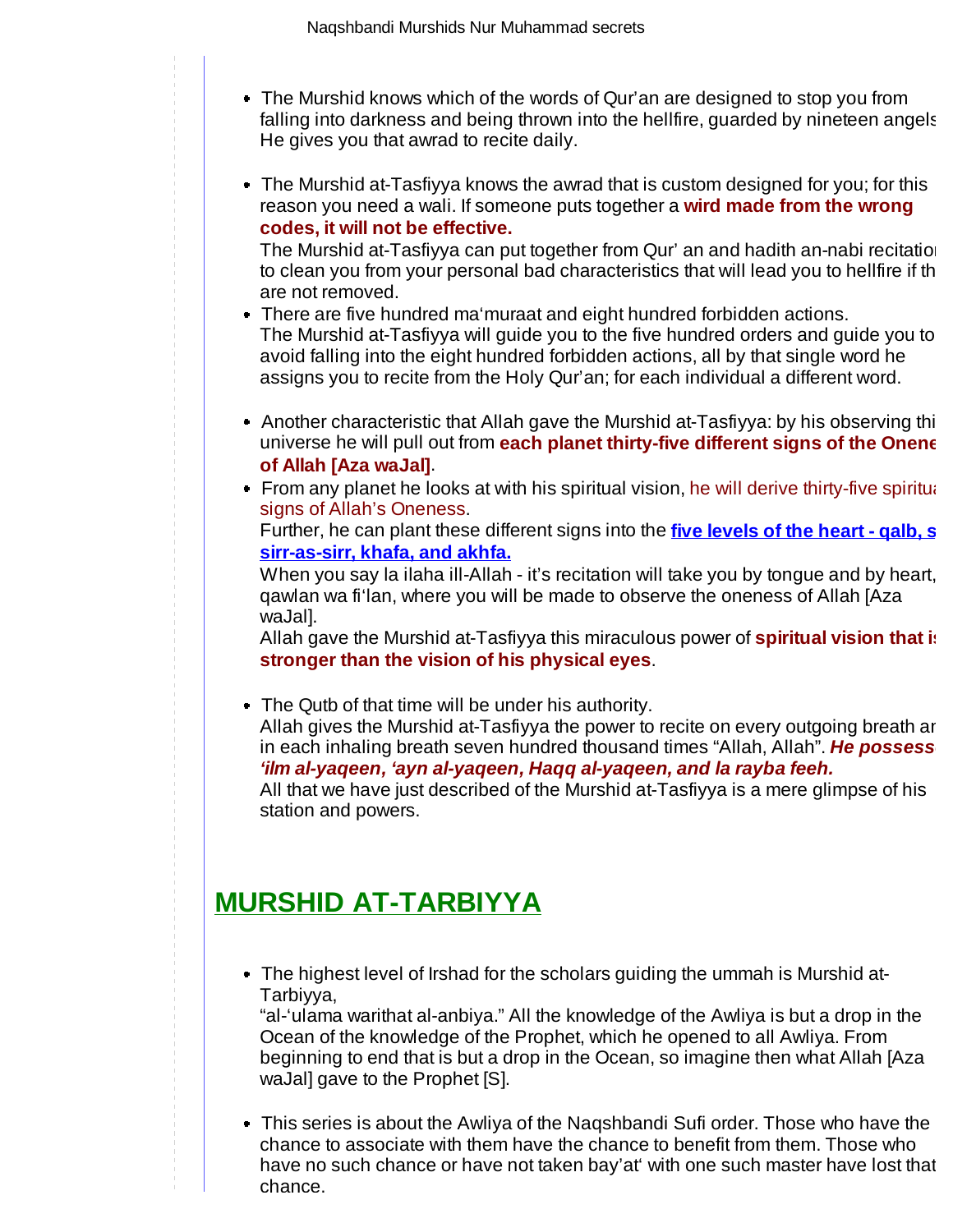- The Murshid knows which of the words of Qur'an are designed to stop you from falling into darkness and being thrown into the hellfire, guarded by nineteen angels He gives you that awrad to recite daily.
- The Murshid at-Tasfiyya knows the awrad that is custom designed for you; for this reason you need a wali. If someone puts together a **wird made from the wrong codes, it will not be effective.**

The Murshid at-Tasfiyya can put together from Qur' an and hadith an-nabi recitation to clean you from your personal bad characteristics that will lead you to hellfire if th are not removed.

- There are five hundred ma'muraat and eight hundred forbidden actions. The Murshid at-Tasfiyya will guide you to the five hundred orders and guide you to avoid falling into the eight hundred forbidden actions, all by that single word he assigns you to recite from the Holy Qur'an; for each individual a different word.
- Another characteristic that Allah gave the Murshid at-Tasfiyya: by his observing thi universe he will pull out from **each planet thirty-five different signs of the Onene of Allah [Aza waJal]**.
- From any planet he looks at with his spiritual vision, he will derive thirty-five spiritual signs of Allah's Oneness.

Further, he can plant these different signs into the **five levels of the heart - qalb, si sirr-as-sirr, khafa, and akhfa.** 

When you say la ilaha ill-Allah - it's recitation will take you by tongue and by heart, qawlan wa fi'lan, where you will be made to observe the oneness of Allah [Aza waJal].

Allah gave the Murshid at-Tasfiyya this miraculous power of **spiritual vision that is stronger than the vision of his physical eyes**.

The Qutb of that time will be under his authority. Allah gives the Murshid at-Tasfiyya the power to recite on every outgoing breath an in each inhaling breath seven hundred thousand times "Allah, Allah". He possess **'ilm al-yaqeen, 'ayn al-yaqeen, Haqq al-yaqeen, and la rayba feeh.** All that we have just described of the Murshid at-Tasfiyya is a mere glimpse of his

# **MURSHID AT-TARBIYYA**

station and powers.

The highest level of Irshad for the scholars guiding the ummah is Murshid at-Tarbiyya,

"al-'ulama warithat al-anbiya." All the knowledge of the Awliya is but a drop in the Ocean of the knowledge of the Prophet, which he opened to all Awliya. From beginning to end that is but a drop in the Ocean, so imagine then what Allah [Aza waJal] gave to the Prophet [S].

This series is about the Awliya of the Naqshbandi Sufi order. Those who have the chance to associate with them have the chance to benefit from them. Those who have no such chance or have not taken bay'at' with one such master have lost that chance.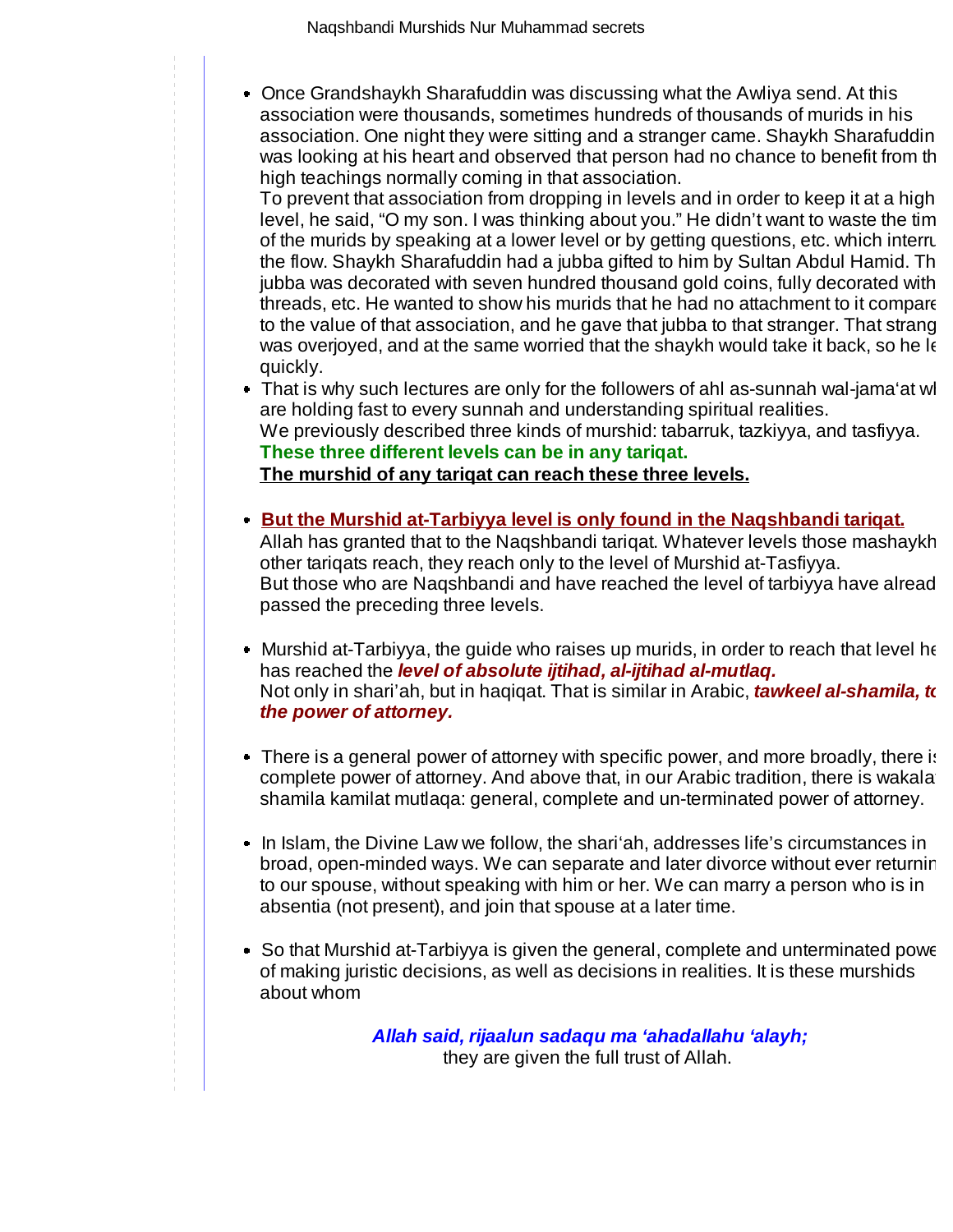chance.

• Once Grandshaykh Sharafuddin was discussing what the Awliya send. At this association were thousands, sometimes hundreds of thousands of murids in his association. One night they were sitting and a stranger came. Shaykh Sharafuddin was looking at his heart and observed that person had no chance to benefit from the high teachings normally coming in that association.

To prevent that association from dropping in levels and in order to keep it at a high level, he said, "O my son. I was thinking about you." He didn't want to waste the tim of the murids by speaking at a lower level or by getting questions, etc. which interru the flow. Shaykh Sharafuddin had a jubba gifted to him by Sultan Abdul Hamid. Th jubba was decorated with seven hundred thousand gold coins, fully decorated with threads, etc. He wanted to show his murids that he had no attachment to it compare to the value of that association, and he gave that jubba to that stranger. That strang was overjoyed, and at the same worried that the shaykh would take it back, so he le quickly.

That is why such lectures are only for the followers of ahl as-sunnah wal-jama'at wh are holding fast to every sunnah and understanding spiritual realities. We previously described three kinds of murshid: tabarruk, tazkiyya, and tasfiyya. **These three different levels can be in any tariqat.** 

**The murshid of any tariqat can reach these three levels.** 

- **But the Murshid at-Tarbiyya level is only found in the Naqshbandi tariqat.** Allah has granted that to the Naqshbandi tariqat. Whatever levels those mashaykh other tariqats reach, they reach only to the level of Murshid at-Tasfiyya. But those who are Nagshbandi and have reached the level of tarbiyya have alread passed the preceding three levels.
- Murshid at-Tarbiyya, the guide who raises up murids, in order to reach that level he has reached the **level of absolute ijtihad, al-ijtihad al-mutlaq.** Not only in shari'ah, but in haqiqat. That is similar in Arabic, **tawkeel al-shamila, to the power of attorney.**
- There is a general power of attorney with specific power, and more broadly, there is complete power of attorney. And above that, in our Arabic tradition, there is wakala shamila kamilat mutlaqa: general, complete and un-terminated power of attorney.
- In Islam, the Divine Law we follow, the shari'ah, addresses life's circumstances in broad, open-minded ways. We can separate and later divorce without ever returnin to our spouse, without speaking with him or her. We can marry a person who is in absentia (not present), and join that spouse at a later time.
- So that Murshid at-Tarbiyya is given the general, complete and unterminated powe of making juristic decisions, as well as decisions in realities. It is these murshids about whom

**Allah said, rijaalun sadaqu ma 'ahadallahu 'alayh;** they are given the full trust of Allah.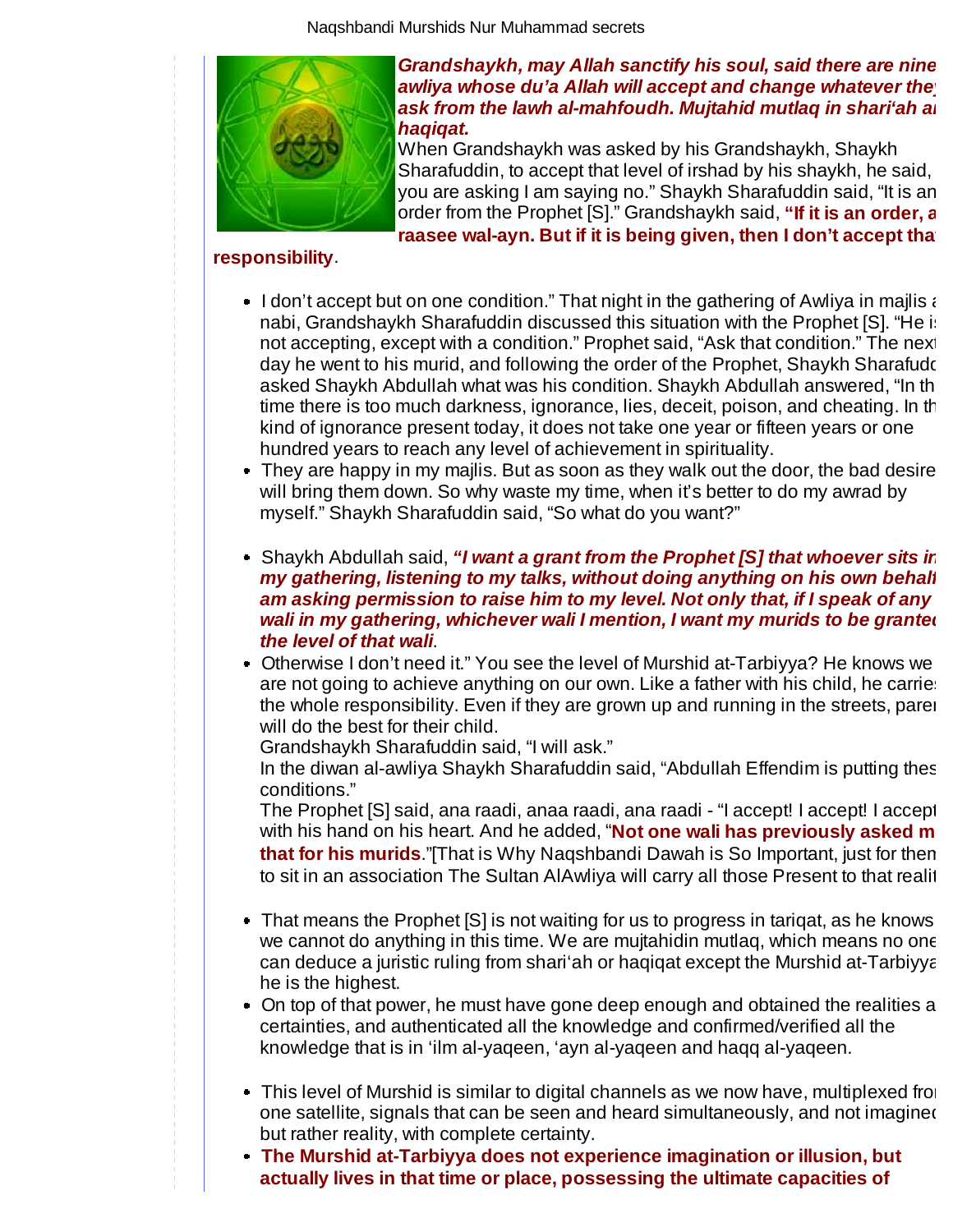

#### **Grandshaykh, may Allah sanctify his soul, said there are nine**  awliya whose du'a Allah will accept and change whatever the **ask from the lawh al-mahfoudh. Mujtahid mutlaq in shari'ah an haqiqat.**

When Grandshaykh was asked by his Grandshaykh, Shaykh Sharafuddin, to accept that level of irshad by his shaykh, he said, you are asking I am saying no." Shaykh Sharafuddin said, "It is an order from the Prophet [S]." Grandshaykh said, **"If it is an order, a** raasee wal-ayn. But if it is being given, then I don't accept tha

## **responsibility**.

- I don't accept but on one condition." That night in the gathering of Awliya in majlis  $\epsilon$ nabi, Grandshaykh Sharafuddin discussed this situation with the Prophet [S]. "He is not accepting, except with a condition." Prophet said, "Ask that condition." The next day he went to his murid, and following the order of the Prophet, Shaykh Sharafudd asked Shaykh Abdullah what was his condition. Shaykh Abdullah answered, "In th time there is too much darkness, ignorance, lies, deceit, poison, and cheating. In th kind of ignorance present today, it does not take one year or fifteen years or one hundred years to reach any level of achievement in spirituality.
- $\bullet$  They are happy in my majlis. But as soon as they walk out the door, the bad desire will bring them down. So why waste my time, when it's better to do my awrad by myself." Shaykh Sharafuddin said, "So what do you want?"
- Shaykh Abdullah said, **"I want a grant from the Prophet [S] that whoever sits in my gathering, listening to my talks, without doing anything on his own behalf, am asking permission to raise him to my level. Not only that, if I speak of any**  wali in my gathering, whichever wali I mention, I want my murids to be granted **the level of that wali**.
- Otherwise I don't need it." You see the level of Murshid at-Tarbiyya? He knows we are not going to achieve anything on our own. Like a father with his child, he carries the whole responsibility. Even if they are grown up and running in the streets, paren will do the best for their child.

Grandshaykh Sharafuddin said, "I will ask."

In the diwan al-awliya Shaykh Sharafuddin said, "Abdullah Effendim is putting thes conditions."

The Prophet [S] said, ana raadi, anaa raadi, ana raadi - "I accept! I accept! I accept! with his hand on his heart. And he added, "**Not one wali has previously asked m that for his murids**."[That is Why Naqshbandi Dawah is So Important, just for them to sit in an association The Sultan AlAwliya will carry all those Present to that realit

- That means the Prophet [S] is not waiting for us to progress in tarigat, as he knows we cannot do anything in this time. We are mujtahidin mutlaq, which means no one can deduce a juristic ruling from shari'ah or haqiqat except the Murshid at-Tarbiyya he is the highest.
- On top of that power, he must have gone deep enough and obtained the realities an certainties, and authenticated all the knowledge and confirmed/verified all the knowledge that is in 'ilm al-yaqeen, 'ayn al-yaqeen and haqq al-yaqeen.
- $\bullet$  This level of Murshid is similar to digital channels as we now have, multiplexed from one satellite, signals that can be seen and heard simultaneously, and not imagined but rather reality, with complete certainty.
- **The Murshid at-Tarbiyya does not experience imagination or illusion, but actually lives in that time or place, possessing the ultimate capacities of**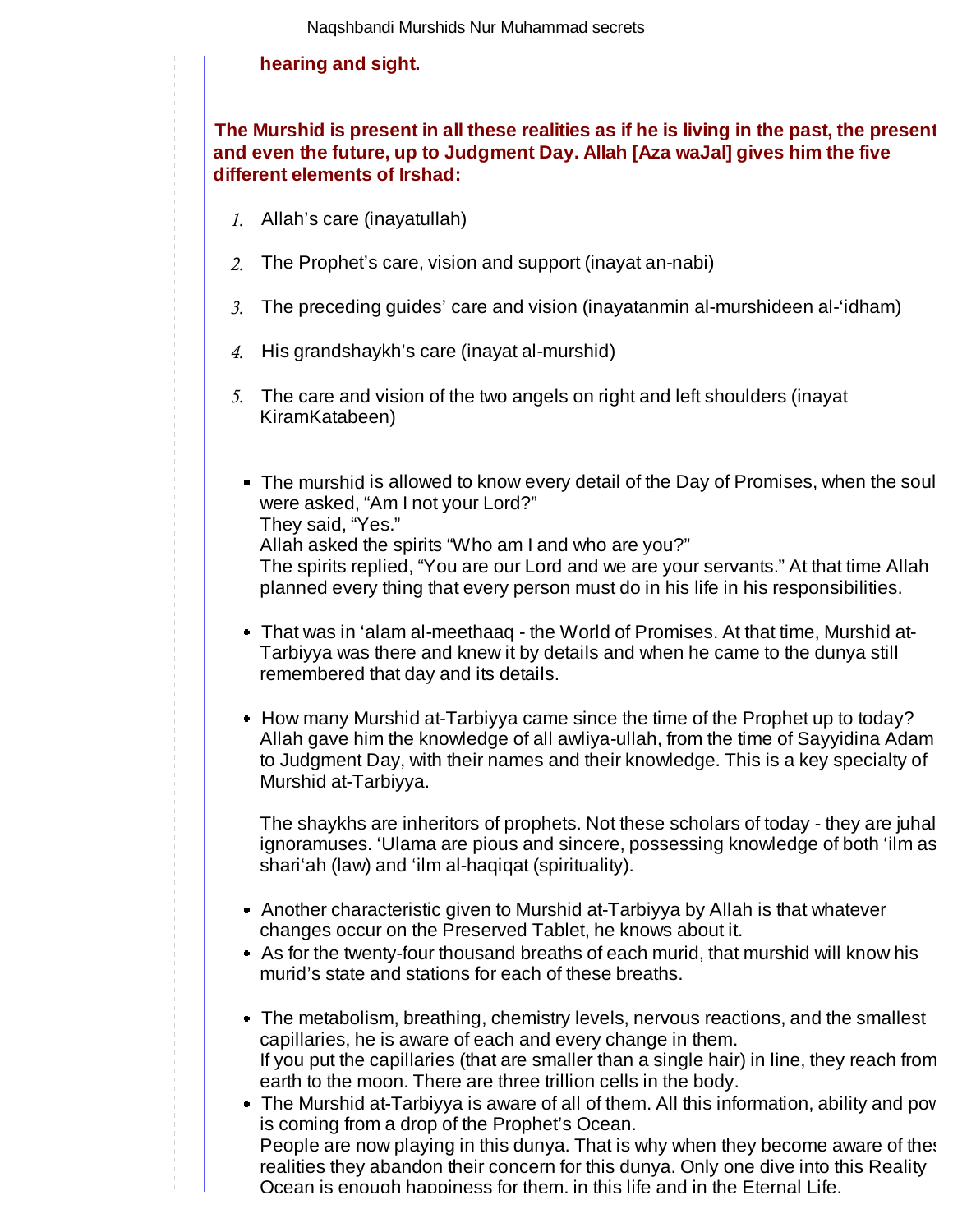## **hearing and sight.**

## **The Murshid is present in all these realities as if he is living in the past, the present and even the future, up to Judgment Day. Allah [Aza waJal] gives him the five different elements of Irshad:**

- Allah's care (inayatullah) *1.*
- The Prophet's care, vision and support (inayat an-nabi) *2.*
- The preceding guides' care and vision (inayatanmin al-murshideen al-'idham) *3.*
- 4. His grandshaykh's care (inayat al-murshid)
- The care and vision of the two angels on right and left shoulders (inayat *5.* KiramKatabeen)
	- The murshid is allowed to know every detail of the Day of Promises, when the soul were asked, "Am I not your Lord?" They said, "Yes." Allah asked the spirits "Who am I and who are you?"

The spirits replied, "You are our Lord and we are your servants." At that time Allah planned every thing that every person must do in his life in his responsibilities.

- That was in 'alam al-meethaaq the World of Promises. At that time, Murshid at-Tarbiyya was there and knew it by details and when he came to the dunya still remembered that day and its details.
- How many Murshid at-Tarbiyya came since the time of the Prophet up to today? Allah gave him the knowledge of all awliya-ullah, from the time of Sayyidina Adam to Judgment Day, with their names and their knowledge. This is a key specialty of Murshid at-Tarbiyya.

The shaykhs are inheritors of prophets. Not these scholars of today - they are juhal ignoramuses. 'Ulama are pious and sincere, possessing knowledge of both 'ilm as shari'ah (law) and 'ilm al-haqiqat (spirituality).

- Another characteristic given to Murshid at-Tarbiyya by Allah is that whatever changes occur on the Preserved Tablet, he knows about it.
- As for the twenty-four thousand breaths of each murid, that murshid will know his murid's state and stations for each of these breaths.
- The metabolism, breathing, chemistry levels, nervous reactions, and the smallest capillaries, he is aware of each and every change in them. If you put the capillaries (that are smaller than a single hair) in line, they reach from earth to the moon. There are three trillion cells in the body.
- The Murshid at-Tarbiyya is aware of all of them. All this information, ability and pow is coming from a drop of the Prophet's Ocean. People are now playing in this dunya. That is why when they become aware of thes realities they abandon their concern for this dunya. Only one dive into this Reality Ocean is enough happiness for them, in this life and in the Eternal Life.